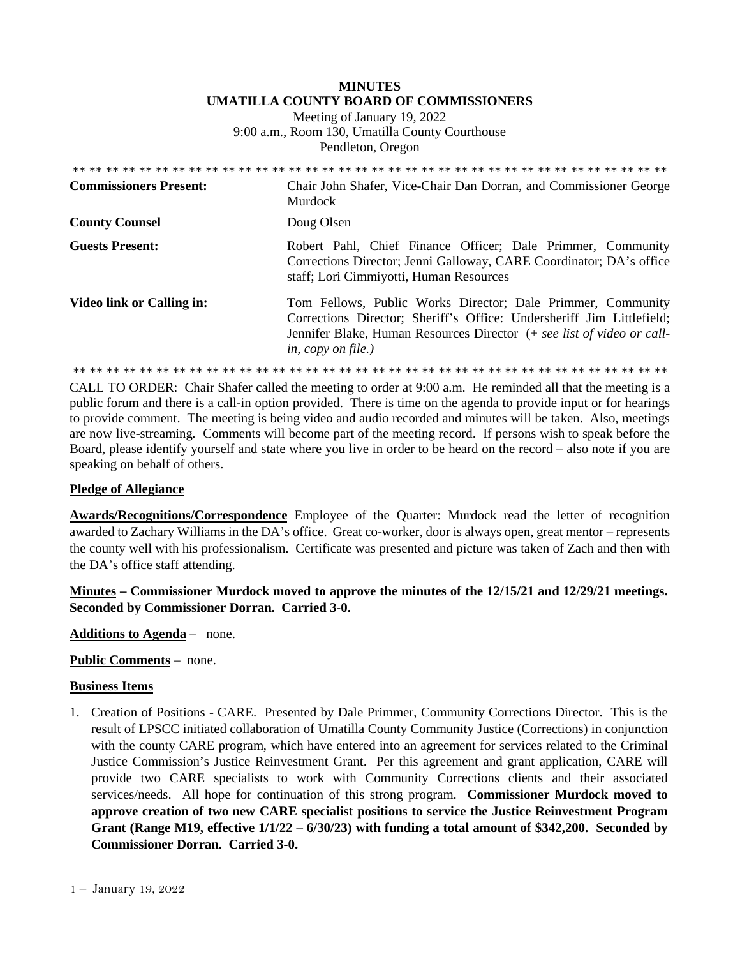# **MINUTES UMATILLA COUNTY BOARD OF COMMISSIONERS**

Meeting of January 19, 2022 9:00 a.m., Room 130, Umatilla County Courthouse Pendleton, Oregon

| <b>Commissioners Present:</b> | Chair John Shafer, Vice-Chair Dan Dorran, and Commissioner George<br>Murdock                                                                                                                                                                |
|-------------------------------|---------------------------------------------------------------------------------------------------------------------------------------------------------------------------------------------------------------------------------------------|
| <b>County Counsel</b>         | Doug Olsen                                                                                                                                                                                                                                  |
| <b>Guests Present:</b>        | Robert Pahl, Chief Finance Officer; Dale Primmer, Community<br>Corrections Director; Jenni Galloway, CARE Coordinator; DA's office<br>staff; Lori Cimmiyotti, Human Resources                                                               |
| Video link or Calling in:     | Tom Fellows, Public Works Director; Dale Primmer, Community<br>Corrections Director; Sheriff's Office: Undersheriff Jim Littlefield;<br>Jennifer Blake, Human Resources Director (+ see list of video or call-<br><i>in, copy on file.)</i> |
|                               |                                                                                                                                                                                                                                             |

CALL TO ORDER: Chair Shafer called the meeting to order at 9:00 a.m. He reminded all that the meeting is a public forum and there is a call-in option provided. There is time on the agenda to provide input or for hearings to provide comment. The meeting is being video and audio recorded and minutes will be taken. Also, meetings are now live-streaming*.* Comments will become part of the meeting record. If persons wish to speak before the Board, please identify yourself and state where you live in order to be heard on the record – also note if you are speaking on behalf of others.

## **Pledge of Allegiance**

**Awards/Recognitions/Correspondence** Employee of the Quarter: Murdock read the letter of recognition awarded to Zachary Williams in the DA's office. Great co-worker, door is always open, great mentor – represents the county well with his professionalism. Certificate was presented and picture was taken of Zach and then with the DA's office staff attending.

**Minutes – Commissioner Murdock moved to approve the minutes of the 12/15/21 and 12/29/21 meetings. Seconded by Commissioner Dorran. Carried 3-0.** 

**Additions to Agenda** – none.

### **Public Comments** – none.

### **Business Items**

1. Creation of Positions - CARE. Presented by Dale Primmer, Community Corrections Director. This is the result of LPSCC initiated collaboration of Umatilla County Community Justice (Corrections) in conjunction with the county CARE program, which have entered into an agreement for services related to the Criminal Justice Commission's Justice Reinvestment Grant. Per this agreement and grant application, CARE will provide two CARE specialists to work with Community Corrections clients and their associated services/needs. All hope for continuation of this strong program. **Commissioner Murdock moved to approve creation of two new CARE specialist positions to service the Justice Reinvestment Program Grant (Range M19, effective 1/1/22 – 6/30/23) with funding a total amount of \$342,200. Seconded by Commissioner Dorran. Carried 3-0.**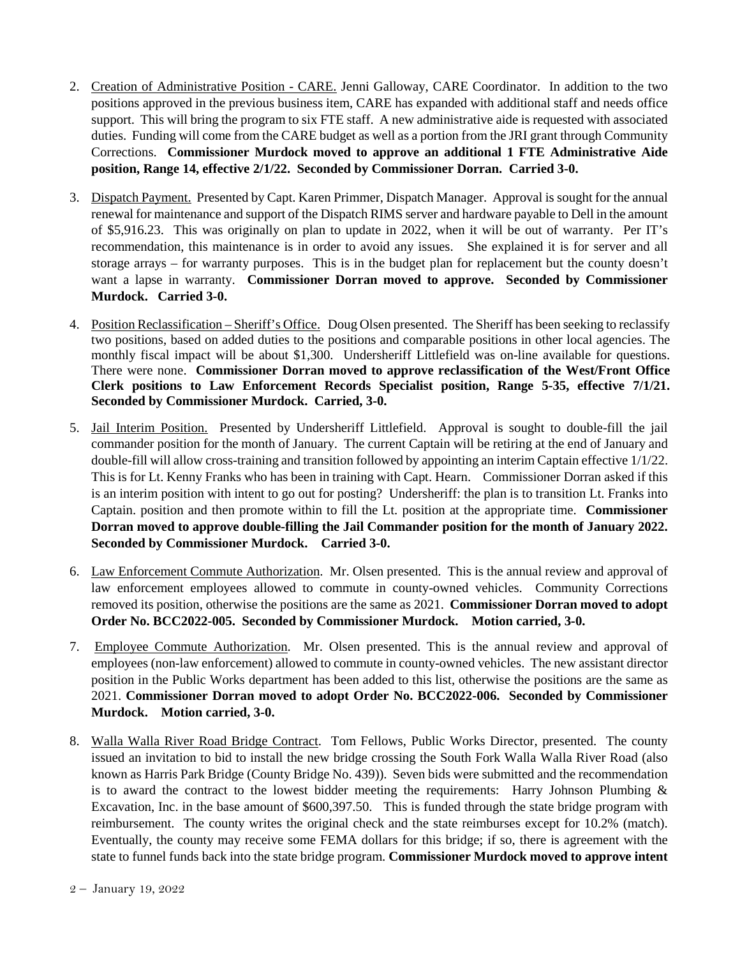- 2. Creation of Administrative Position CARE. Jenni Galloway, CARE Coordinator. In addition to the two positions approved in the previous business item, CARE has expanded with additional staff and needs office support. This will bring the program to six FTE staff. A new administrative aide is requested with associated duties. Funding will come from the CARE budget as well as a portion from the JRI grant through Community Corrections. **Commissioner Murdock moved to approve an additional 1 FTE Administrative Aide position, Range 14, effective 2/1/22. Seconded by Commissioner Dorran. Carried 3-0.**
- 3. Dispatch Payment. Presented by Capt. Karen Primmer, Dispatch Manager. Approval is sought for the annual renewal for maintenance and support of the Dispatch RIMS server and hardware payable to Dell in the amount of \$5,916.23. This was originally on plan to update in 2022, when it will be out of warranty. Per IT's recommendation, this maintenance is in order to avoid any issues. She explained it is for server and all storage arrays – for warranty purposes. This is in the budget plan for replacement but the county doesn't want a lapse in warranty. **Commissioner Dorran moved to approve. Seconded by Commissioner Murdock. Carried 3-0.**
- 4. Position Reclassification Sheriff's Office. Doug Olsen presented. The Sheriff has been seeking to reclassify two positions, based on added duties to the positions and comparable positions in other local agencies. The monthly fiscal impact will be about \$1,300. Undersheriff Littlefield was on-line available for questions. There were none. **Commissioner Dorran moved to approve reclassification of the West/Front Office Clerk positions to Law Enforcement Records Specialist position, Range 5-35, effective 7/1/21. Seconded by Commissioner Murdock. Carried, 3-0.**
- 5. Jail Interim Position. Presented by Undersheriff Littlefield. Approval is sought to double-fill the jail commander position for the month of January. The current Captain will be retiring at the end of January and double-fill will allow cross-training and transition followed by appointing an interim Captain effective 1/1/22. This is for Lt. Kenny Franks who has been in training with Capt. Hearn. Commissioner Dorran asked if this is an interim position with intent to go out for posting? Undersheriff: the plan is to transition Lt. Franks into Captain. position and then promote within to fill the Lt. position at the appropriate time. **Commissioner Dorran moved to approve double-filling the Jail Commander position for the month of January 2022. Seconded by Commissioner Murdock. Carried 3-0.**
- 6. Law Enforcement Commute Authorization. Mr. Olsen presented. This is the annual review and approval of law enforcement employees allowed to commute in county-owned vehicles. Community Corrections removed its position, otherwise the positions are the same as 2021. **Commissioner Dorran moved to adopt Order No. BCC2022-005. Seconded by Commissioner Murdock. Motion carried, 3-0.**
- 7. Employee Commute Authorization. Mr. Olsen presented. This is the annual review and approval of employees (non-law enforcement) allowed to commute in county-owned vehicles. The new assistant director position in the Public Works department has been added to this list, otherwise the positions are the same as 2021. **Commissioner Dorran moved to adopt Order No. BCC2022-006. Seconded by Commissioner Murdock. Motion carried, 3-0.**
- 8. Walla Walla River Road Bridge Contract. Tom Fellows, Public Works Director, presented. The county issued an invitation to bid to install the new bridge crossing the South Fork Walla Walla River Road (also known as Harris Park Bridge (County Bridge No. 439)). Seven bids were submitted and the recommendation is to award the contract to the lowest bidder meeting the requirements: Harry Johnson Plumbing  $\&$ Excavation, Inc. in the base amount of \$600,397.50. This is funded through the state bridge program with reimbursement. The county writes the original check and the state reimburses except for 10.2% (match). Eventually, the county may receive some FEMA dollars for this bridge; if so, there is agreement with the state to funnel funds back into the state bridge program. **Commissioner Murdock moved to approve intent**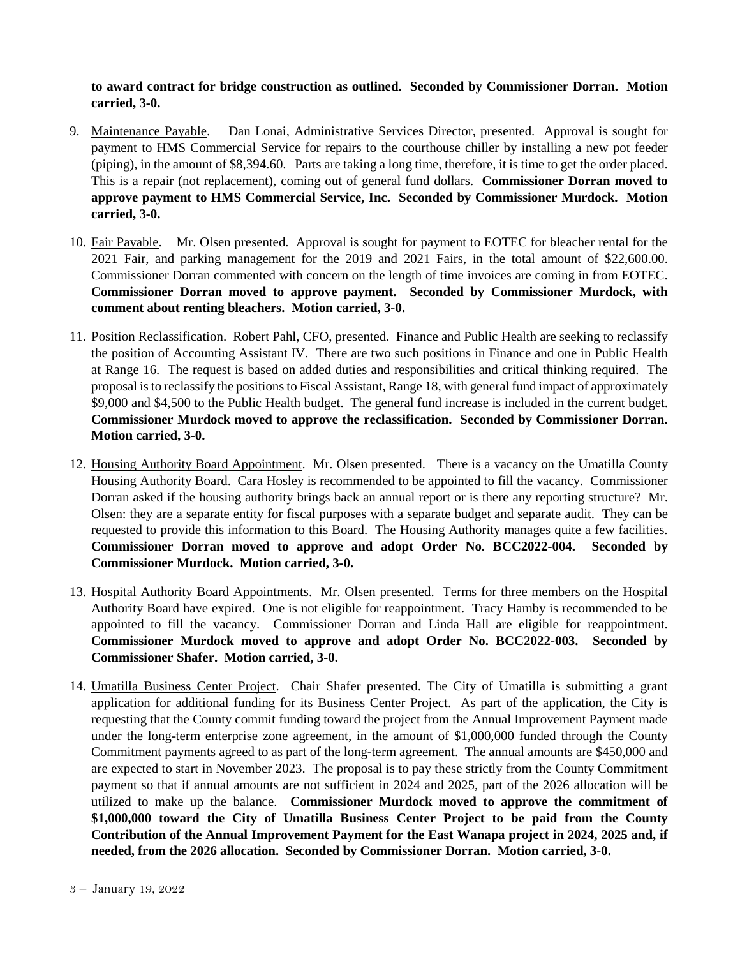**to award contract for bridge construction as outlined. Seconded by Commissioner Dorran. Motion carried, 3-0.**

- 9. Maintenance Payable. Dan Lonai, Administrative Services Director, presented. Approval is sought for payment to HMS Commercial Service for repairs to the courthouse chiller by installing a new pot feeder (piping), in the amount of \$8,394.60. Parts are taking a long time, therefore, it is time to get the order placed. This is a repair (not replacement), coming out of general fund dollars. **Commissioner Dorran moved to approve payment to HMS Commercial Service, Inc. Seconded by Commissioner Murdock. Motion carried, 3-0.**
- 10. Fair Payable. Mr. Olsen presented. Approval is sought for payment to EOTEC for bleacher rental for the 2021 Fair, and parking management for the 2019 and 2021 Fairs, in the total amount of \$22,600.00. Commissioner Dorran commented with concern on the length of time invoices are coming in from EOTEC. **Commissioner Dorran moved to approve payment. Seconded by Commissioner Murdock, with comment about renting bleachers. Motion carried, 3-0.**
- 11. Position Reclassification. Robert Pahl, CFO, presented. Finance and Public Health are seeking to reclassify the position of Accounting Assistant IV. There are two such positions in Finance and one in Public Health at Range 16. The request is based on added duties and responsibilities and critical thinking required. The proposal is to reclassify the positions to Fiscal Assistant, Range 18, with general fund impact of approximately \$9,000 and \$4,500 to the Public Health budget. The general fund increase is included in the current budget. **Commissioner Murdock moved to approve the reclassification. Seconded by Commissioner Dorran. Motion carried, 3-0.**
- 12. Housing Authority Board Appointment. Mr. Olsen presented. There is a vacancy on the Umatilla County Housing Authority Board. Cara Hosley is recommended to be appointed to fill the vacancy. Commissioner Dorran asked if the housing authority brings back an annual report or is there any reporting structure? Mr. Olsen: they are a separate entity for fiscal purposes with a separate budget and separate audit. They can be requested to provide this information to this Board. The Housing Authority manages quite a few facilities. **Commissioner Dorran moved to approve and adopt Order No. BCC2022-004. Seconded by Commissioner Murdock. Motion carried, 3-0.**
- 13. Hospital Authority Board Appointments. Mr. Olsen presented. Terms for three members on the Hospital Authority Board have expired. One is not eligible for reappointment. Tracy Hamby is recommended to be appointed to fill the vacancy. Commissioner Dorran and Linda Hall are eligible for reappointment. **Commissioner Murdock moved to approve and adopt Order No. BCC2022-003. Seconded by Commissioner Shafer. Motion carried, 3-0.**
- 14. Umatilla Business Center Project. Chair Shafer presented. The City of Umatilla is submitting a grant application for additional funding for its Business Center Project. As part of the application, the City is requesting that the County commit funding toward the project from the Annual Improvement Payment made under the long-term enterprise zone agreement, in the amount of \$1,000,000 funded through the County Commitment payments agreed to as part of the long-term agreement. The annual amounts are \$450,000 and are expected to start in November 2023. The proposal is to pay these strictly from the County Commitment payment so that if annual amounts are not sufficient in 2024 and 2025, part of the 2026 allocation will be utilized to make up the balance. **Commissioner Murdock moved to approve the commitment of \$1,000,000 toward the City of Umatilla Business Center Project to be paid from the County Contribution of the Annual Improvement Payment for the East Wanapa project in 2024, 2025 and, if needed, from the 2026 allocation. Seconded by Commissioner Dorran. Motion carried, 3-0.**